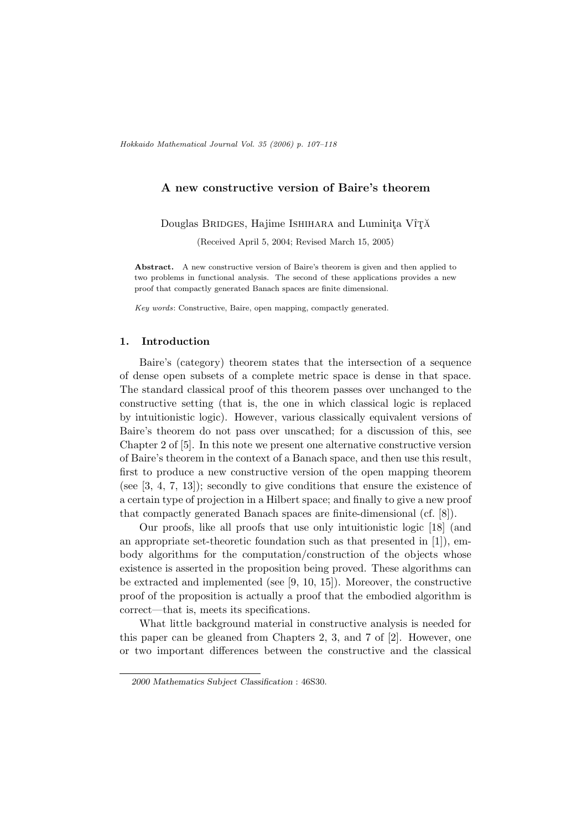# A new constructive version of Baire's theorem

Douglas BRIDGES, Hajime ISHIHARA and Luminita Vî<sub>T</sub>Ă

(Received April 5, 2004; Revised March 15, 2005)

Abstract. A new constructive version of Baire's theorem is given and then applied to two problems in functional analysis. The second of these applications provides a new proof that compactly generated Banach spaces are finite dimensional.

Key words: Constructive, Baire, open mapping, compactly generated.

## 1. Introduction

Baire's (category) theorem states that the intersection of a sequence of dense open subsets of a complete metric space is dense in that space. The standard classical proof of this theorem passes over unchanged to the constructive setting (that is, the one in which classical logic is replaced by intuitionistic logic). However, various classically equivalent versions of Baire's theorem do not pass over unscathed; for a discussion of this, see Chapter 2 of [5]. In this note we present one alternative constructive version of Baire's theorem in the context of a Banach space, and then use this result, first to produce a new constructive version of the open mapping theorem (see  $[3, 4, 7, 13]$ ); secondly to give conditions that ensure the existence of a certain type of projection in a Hilbert space; and finally to give a new proof that compactly generated Banach spaces are finite-dimensional (cf. [8]).

Our proofs, like all proofs that use only intuitionistic logic [18] (and an appropriate set-theoretic foundation such as that presented in [1]), embody algorithms for the computation/construction of the objects whose existence is asserted in the proposition being proved. These algorithms can be extracted and implemented (see [9, 10, 15]). Moreover, the constructive proof of the proposition is actually a proof that the embodied algorithm is correct—that is, meets its specifications.

What little background material in constructive analysis is needed for this paper can be gleaned from Chapters 2, 3, and 7 of [2]. However, one or two important differences between the constructive and the classical

<sup>2000</sup> Mathematics Subject Classification : 46S30.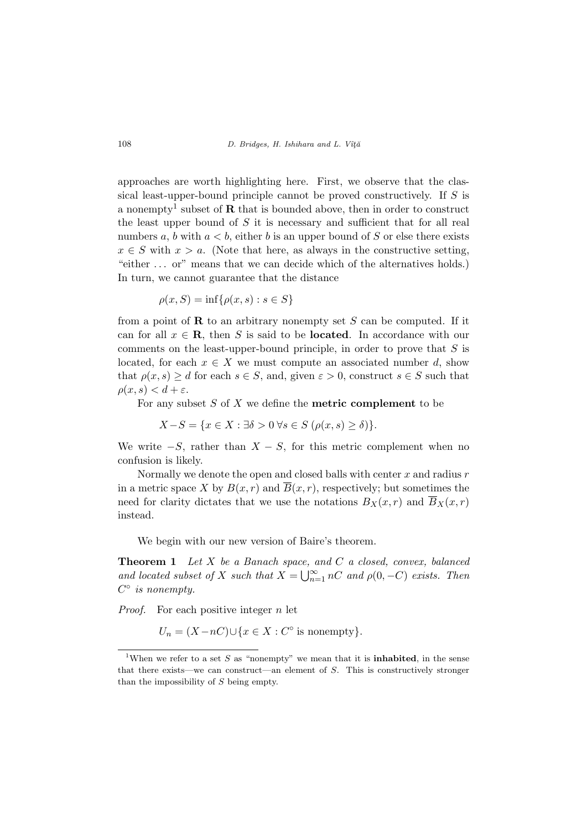approaches are worth highlighting here. First, we observe that the classical least-upper-bound principle cannot be proved constructively. If S is a nonempty<sup>1</sup> subset of **R** that is bounded above, then in order to construct the least upper bound of  $S$  it is necessary and sufficient that for all real numbers a, b with  $a < b$ , either b is an upper bound of S or else there exists  $x \in S$  with  $x > a$ . (Note that here, as always in the constructive setting, "either . . . or" means that we can decide which of the alternatives holds.) In turn, we cannot guarantee that the distance

$$
\rho(x, S) = \inf \{ \rho(x, s) : s \in S \}
$$

from a point of  $\bf{R}$  to an arbitrary nonempty set S can be computed. If it can for all  $x \in \mathbf{R}$ , then S is said to be **located**. In accordance with our comments on the least-upper-bound principle, in order to prove that  $S$  is located, for each  $x \in X$  we must compute an associated number d, show that  $\rho(x, s) \geq d$  for each  $s \in S$ , and, given  $\varepsilon > 0$ , construct  $s \in S$  such that  $\rho(x, s) < d + \varepsilon$ .

For any subset  $S$  of  $X$  we define the **metric complement** to be

$$
X - S = \{ x \in X : \exists \delta > 0 \,\forall s \in S \, (\rho(x, s) \ge \delta) \}.
$$

We write  $-S$ , rather than  $X - S$ , for this metric complement when no confusion is likely.

Normally we denote the open and closed balls with center  $x$  and radius  $r$ in a metric space X by  $B(x, r)$  and  $\overline{B}(x, r)$ , respectively; but sometimes the need for clarity dictates that we use the notations  $B_X(x, r)$  and  $\overline{B}_X(x, r)$ instead.

We begin with our new version of Baire's theorem.

**Theorem 1** Let  $X$  be a Banach space, and  $C$  a closed, convex, balanced **Theorem T** Let  $X$  be a Banach space, and located subset of  $X$  such that  $X = \bigcup_{n=1}^{\infty}$  $\sum_{n=1}^{\infty} nC$  and  $\rho(0, -C)$  exists. Then  $C^{\circ}$  is nonempty.

*Proof.* For each positive integer  $n$  let

 $U_n = (X - nC) \cup \{x \in X : C^{\circ} \text{ is nonempty}\}.$ 

<sup>&</sup>lt;sup>1</sup>When we refer to a set S as "nonempty" we mean that it is **inhabited**, in the sense that there exists—we can construct—an element of S. This is constructively stronger than the impossibility of S being empty.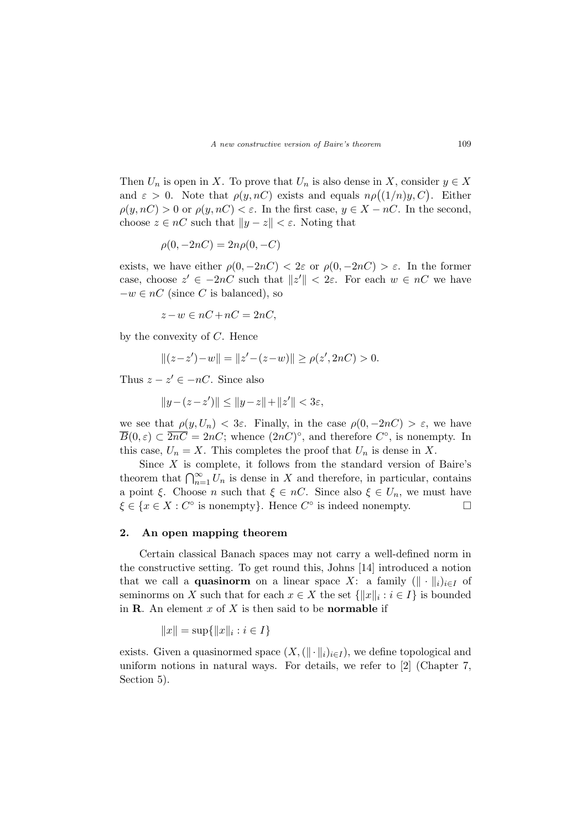Then  $U_n$  is open in X. To prove that  $U_n$  is also dense in X, consider  $y \in X$ Then  $\mathcal{O}_n$  is open in  $\Lambda$ . To prove that  $\mathcal{O}_n$  is also dense in  $\Lambda$ , consider  $y \in \Lambda$ <br>and  $\varepsilon > 0$ . Note that  $\rho(y, nC)$  exists and equals  $n\rho((1/n)y, C)$ . Either  $\rho(y, nC) > 0$  or  $\rho(y, nC) < \varepsilon$ . In the first case,  $y \in X - nC$ . In the second, choose  $z \in nC$  such that  $||y - z|| < \varepsilon$ . Noting that

$$
\rho(0, -2nC) = 2n\rho(0, -C)
$$

exists, we have either  $\rho(0, -2nC) < 2\varepsilon$  or  $\rho(0, -2nC) > \varepsilon$ . In the former case, choose  $z' \in -2nC$  such that  $||z'|| < 2\varepsilon$ . For each  $w \in nC$  we have  $-v \in nC$  (since C is balanced), so

$$
z - w \in nC + nC = 2nC,
$$

by the convexity of  $C$ . Hence

$$
||(z-z') - w|| = ||z' - (z-w)|| \ge \rho(z', 2nC) > 0.
$$

Thus  $z - z' \in -nC$ . Since also

 $||y-(z-z')|| \le ||y-z|| + ||z'|| < 3\varepsilon,$ 

we see that  $\rho(y, U_n) < 3\varepsilon$ . Finally, in the case  $\rho(0, -2nC) > \varepsilon$ , we have  $\overline{B}(0,\varepsilon) \subset \overline{2nC} = 2nC$ ; whence  $(2nC)$ °, and therefore  $C$ °, is nonempty. In this case,  $U_n = X$ . This completes the proof that  $U_n$  is dense in X.

Since  $X$  is complete, it follows from the standard version of Baire's theorem that  $\bigcap_{n=1}^{\infty} U_n$  is dense in X and therefore, in particular, contains a point  $\xi$ . Choose *n* such that  $\xi \in nC$ . Since also  $\xi \in U_n$ , we must have  $\xi \in \{x \in X : C^{\circ} \text{ is nonempty}\}.$  Hence  $C^{\circ}$  is indeed nonempty.

### 2. An open mapping theorem

Certain classical Banach spaces may not carry a well-defined norm in the constructive setting. To get round this, Johns [14] introduced a notion that we call a **quasinorm** on a linear space X: a family  $(\|\cdot\|_i)_{i\in I}$  of seminorms on X such that for each  $x \in X$  the set  $\{\|x\|_i : i \in I\}$  is bounded in **. An element**  $x$  **of**  $X$  **is then said to be <b>normable** if

$$
||x|| = \sup{||x||_i : i \in I}
$$

exists. Given a quasinormed space  $(X, (\|\cdot\|_i)_{i\in I})$ , we define topological and uniform notions in natural ways. For details, we refer to [2] (Chapter 7, Section 5).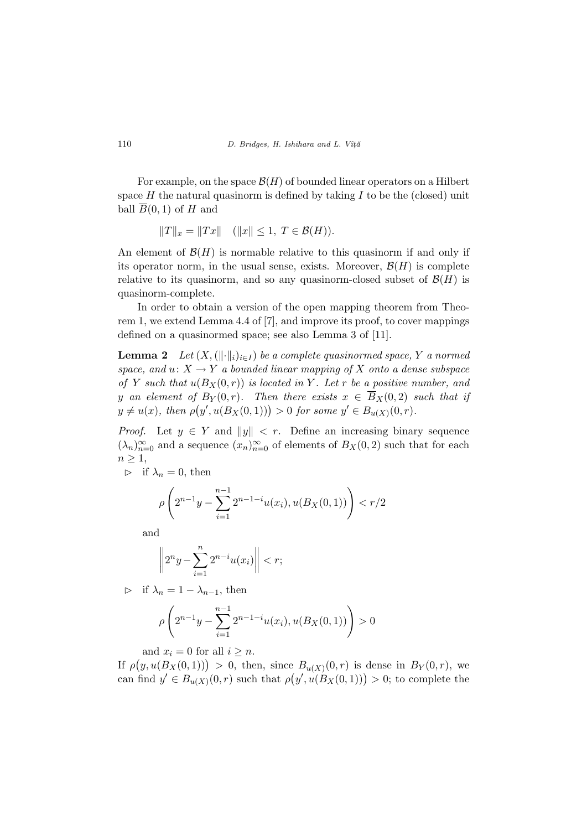110  $D.$  Bridges, H. Ishihara and L. Vîță

For example, on the space  $\mathcal{B}(H)$  of bounded linear operators on a Hilbert space  $H$  the natural quasinorm is defined by taking  $I$  to be the (closed) unit ball  $\overline{B}(0,1)$  of H and

$$
||T||_x = ||Tx|| \quad (||x|| \le 1, \ T \in \mathcal{B}(H)).
$$

An element of  $\mathcal{B}(H)$  is normable relative to this quasinorm if and only if its operator norm, in the usual sense, exists. Moreover,  $\mathcal{B}(H)$  is complete relative to its quasinorm, and so any quasinorm-closed subset of  $\mathcal{B}(H)$  is quasinorm-complete.

In order to obtain a version of the open mapping theorem from Theorem 1, we extend Lemma 4.4 of [7], and improve its proof, to cover mappings defined on a quasinormed space; see also Lemma 3 of [11].

**Lemma 2** Let  $(X, (\|\cdot\|_i)_{i\in I})$  be a complete quasinormed space, Y a normed space, and  $u: X \to Y$  a bounded linear mapping of X onto a dense subspace of Y such that  $u(B_X(0,r))$  is located in Y. Let r be a positive number, and y an element of  $B_Y(0,r)$ . Then there exists  $x \in B_X(0,2)$  such that if y an element of  $D_Y(0,r)$ . Then there exists  $x \in D_X(0,2)$  is  $y \neq u(x)$ , then  $\rho(y', u(B_X(0,1))) > 0$  for some  $y' \in B_{u(X)}(0,r)$ .

*Proof.* Let  $y \in Y$  and  $||y|| < r$ . Define an increasing binary sequence  $(\lambda_n)_{n=0}^{\infty}$  and a sequence  $(x_n)_{n=0}^{\infty}$  of elements of  $B_X(0, 2)$  such that for each  $n \geq 1$ ,

 $\triangleright$  if  $\lambda_n = 0$ , then

$$
\rho\left(2^{n-1}y - \sum_{i=1}^{n-1} 2^{n-1-i}u(x_i), u(B_X(0,1))\right) < r/2
$$

and

$$
\left\|2^ny-\sum_{i=1}^n2^{n-i}u(x_i)\right\|
$$

 $\triangleright$  if  $\lambda_n = 1 - \lambda_{n-1}$ , then

$$
\rho\left(2^{n-1}y - \sum_{i=1}^{n-1} 2^{n-1-i}u(x_i), u(B_X(0,1))\right) > 0
$$

and  $x_i = 0$  for all  $i \geq n$ .

If  $\rho$ and  $x_i = 0$  for an  $i \ge n$ .<br>  $(y, u(B_X(0, 1))) > 0$ , then, since  $B_{u(X)}(0, r)$  is dense in  $B_Y(0, r)$ , we  $P(y, u(D_X(0,1))) > 0$ , then, since  $D_{u(X)}(0, r)$  is dense in  $D_Y(0, r)$ , we<br>can find  $y' \in B_{u(X)}(0, r)$  such that  $\rho(y', u(B_X(0,1))) > 0$ ; to complete the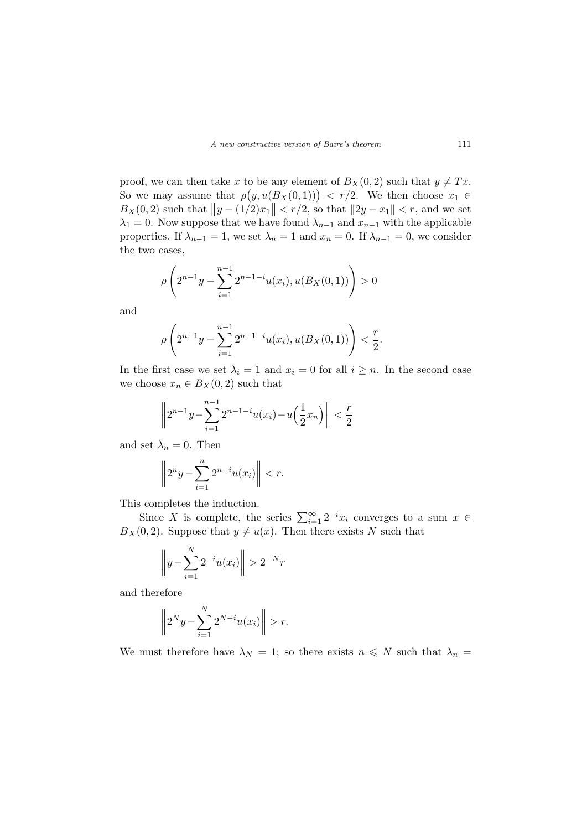proof, we can then take x to be any element of  $B_X(0,2)$  such that  $y \neq Tx$ . proof, we can then take x to be any element of  $D_X(0, z)$  such that  $y \neq Tx$ .<br>So we may assume that  $\rho(y, u(B_X(0, 1))) < r/2$ . We then choose  $x_1 \in$  $B_X(0, 2)$  such that  $||y - (1/2)x_1|| < r/2$ , so that  $||2y - x_1|| < r$ , and we set  $\lambda_1 = 0$ . Now suppose that we have found  $\lambda_{n-1}$  and  $x_{n-1}$  with the applicable properties. If  $\lambda_{n-1} = 1$ , we set  $\lambda_n = 1$  and  $x_n = 0$ . If  $\lambda_{n-1} = 0$ , we consider the two cases,

$$
\rho\left(2^{n-1}y - \sum_{i=1}^{n-1} 2^{n-1-i}u(x_i), u(B_X(0,1))\right) > 0
$$

and

$$
\rho\left(2^{n-1}y - \sum_{i=1}^{n-1} 2^{n-1-i}u(x_i), u(B_X(0,1))\right) < \frac{r}{2}.
$$

In the first case we set  $\lambda_i = 1$  and  $x_i = 0$  for all  $i \geq n$ . In the second case we choose  $x_n \in B_X(0, 2)$  such that

$$
\left\| 2^{n-1}y - \sum_{i=1}^{n-1} 2^{n-1-i}u(x_i) - u\left(\frac{1}{2}x_n\right) \right\| < \frac{r}{2}
$$

and set  $\lambda_n = 0$ . Then

$$
\left\|2^n y - \sum_{i=1}^n 2^{n-i} u(x_i)\right\| < r.
$$

This completes the induction.

Since X is complete, the series  $\sum_{i=1}^{\infty} 2^{-i}x_i$  converges to a sum  $x \in$  $\overline{B}_X(0, 2)$ . Suppose that  $y \neq u(x)$ . Then there exists N such that

$$
\left\| y - \sum_{i=1}^{N} 2^{-i} u(x_i) \right\| > 2^{-N} r
$$

and therefore

$$
\left\|2^N y - \sum_{i=1}^N 2^{N-i} u(x_i)\right\| > r.
$$

We must therefore have  $\lambda_N = 1$ ; so there exists  $n \leq N$  such that  $\lambda_n =$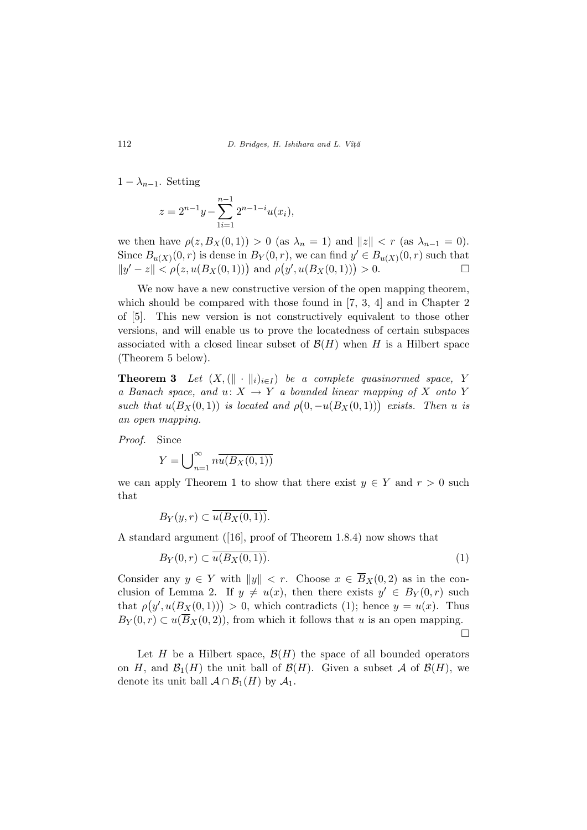$1 - \lambda_{n-1}$ . Setting

$$
z = 2^{n-1}y - \sum_{i=1}^{n-1} 2^{n-1-i}u(x_i),
$$

we then have  $\rho(z, B_X(0, 1)) > 0$  (as  $\lambda_n = 1$ ) and  $||z|| < r$  (as  $\lambda_{n-1} = 0$ ). Since  $B_{u(X)}(0, r)$  is dense in  $B_Y(0, r)$ , we can find  $y' \in B_{u(X)}(0, r)$  such that since  $B_{u(X)}(0, r)$  is dense in  $B_Y(0, r)$ , we can find  $y \in B_{u(X)}(0, r)$  such that  $||y' - z|| < \rho(z, u(B_X(0, 1)))$  and  $\rho(y', u(B_X(0, 1))) > 0$ .

We now have a new constructive version of the open mapping theorem, which should be compared with those found in [7, 3, 4] and in Chapter 2 of [5]. This new version is not constructively equivalent to those other versions, and will enable us to prove the locatedness of certain subspaces associated with a closed linear subset of  $\mathcal{B}(H)$  when H is a Hilbert space (Theorem 5 below).

**Theorem 3** Let  $(X, (\|\cdot\|_i)_{i\in I})$  be a complete quasinormed space, Y a Banach space, and  $u: X \to Y$  a bounded linear mapping of X onto Y u Banach space, and  $u: X \to Y$  a bounded intear mapping by X onto Y<br>such that  $u(B_X(0,1))$  is located and  $\rho(0,-u(B_X(0,1)))$  exists. Then u is an open mapping.

Proof. Since

$$
Y = \bigcup_{n=1}^{\infty} n \overline{u(B_X(0,1))}
$$

we can apply Theorem 1 to show that there exist  $y \in Y$  and  $r > 0$  such that

$$
B_Y(y,r) \subset \overline{u(B_X(0,1))}.
$$

A standard argument ([16], proof of Theorem 1.8.4) now shows that

$$
B_Y(0,r) \subset \overline{u(B_X(0,1))}.\tag{1}
$$

Consider any  $y \in Y$  with  $||y|| < r$ . Choose  $x \in \overline{B}_X(0, 2)$  as in the conclusion of Lemma 2. If  $y \neq u(x)$ , then there exists  $y' \in B_Y(0, r)$  such clusion of Lemma 2. If  $y \neq u(x)$ , then there exists  $y \in B_Y(0,T)$  such that  $\rho(y', u(B_X(0,1))) > 0$ , which contradicts (1); hence  $y = u(x)$ . Thus  $B_Y(0,r) \subset u(\overline{B}_X(0,2))$ , from which it follows that u is an open mapping. ¤

Let H be a Hilbert space,  $\mathcal{B}(H)$  the space of all bounded operators on H, and  $\mathcal{B}_1(H)$  the unit ball of  $\mathcal{B}(H)$ . Given a subset A of  $\mathcal{B}(H)$ , we denote its unit ball  $\mathcal{A} \cap \mathcal{B}_1(H)$  by  $\mathcal{A}_1$ .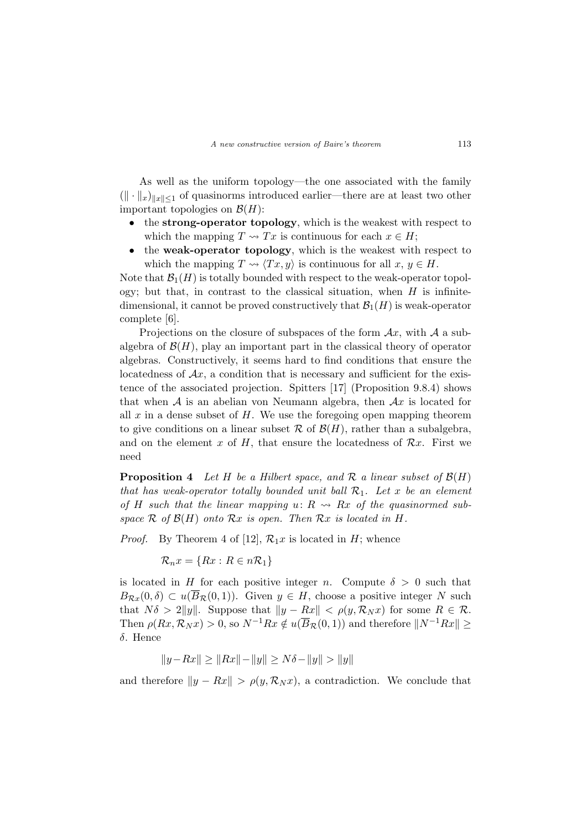As well as the uniform topology—the one associated with the family  $(\Vert \cdot \Vert_x)_{\Vert x \Vert \leq 1}$  of quasinorms introduced earlier—there are at least two other important topologies on  $\mathcal{B}(H)$ :

- the strong-operator topology, which is the weakest with respect to which the mapping  $T \rightsquigarrow Tx$  is continuous for each  $x \in H$ ;
- the weak-operator topology, which is the weakest with respect to which the mapping  $T \rightsquigarrow \langle Tx, y \rangle$  is continuous for all  $x, y \in H$ .

Note that  $\mathcal{B}_1(H)$  is totally bounded with respect to the weak-operator topology; but that, in contrast to the classical situation, when  $H$  is infinitedimensional, it cannot be proved constructively that  $\mathcal{B}_1(H)$  is weak-operator complete [6].

Projections on the closure of subspaces of the form  $Ax$ , with A a subalgebra of  $\mathcal{B}(H)$ , play an important part in the classical theory of operator algebras. Constructively, it seems hard to find conditions that ensure the locatedness of  $\mathcal{A}x$ , a condition that is necessary and sufficient for the existence of the associated projection. Spitters [17] (Proposition 9.8.4) shows that when  $A$  is an abelian von Neumann algebra, then  $Ax$  is located for all  $x$  in a dense subset of  $H$ . We use the foregoing open mapping theorem to give conditions on a linear subset  $\mathcal R$  of  $\mathcal B(H)$ , rather than a subalgebra, and on the element x of H, that ensure the locatedness of  $\mathcal{R}x$ . First we need

**Proposition 4** Let H be a Hilbert space, and R a linear subset of  $\mathcal{B}(H)$ that has weak-operator totally bounded unit ball  $\mathcal{R}_1$ . Let x be an element of H such that the linear mapping  $u: R \rightarrow Rx$  of the quasinormed subspace  $\mathcal R$  of  $\mathcal B(H)$  onto  $\mathcal Rx$  is open. Then  $\mathcal Rx$  is located in H.

*Proof.* By Theorem 4 of [12],  $\mathcal{R}_1 x$  is located in H; whence

 $\mathcal{R}_n x = \{Rx : R \in n\mathcal{R}_1\}$ 

is located in H for each positive integer n. Compute  $\delta > 0$  such that  $B_{\mathcal{R}x}(0,\delta) \subset u(\overline{B}_{\mathcal{R}}(0,1)).$  Given  $y \in H$ , choose a positive integer N such that  $N\delta > 2||y||$ . Suppose that  $||y - Rx|| < \rho(y, \mathcal{R}_N x)$  for some  $R \in \mathcal{R}$ . Then  $\rho(Rx, \mathcal{R}_N x) > 0$ , so  $N^{-1}Rx \notin u(\overline{B}_{\mathcal{R}}(0, 1))$  and therefore  $||N^{-1}Rx|| \ge$ δ. Hence

$$
||y - Rx|| \ge ||Rx|| - ||y|| \ge N\delta - ||y|| > ||y||
$$

and therefore  $||y - Rx|| > \rho(y, \mathcal{R}_N x)$ , a contradiction. We conclude that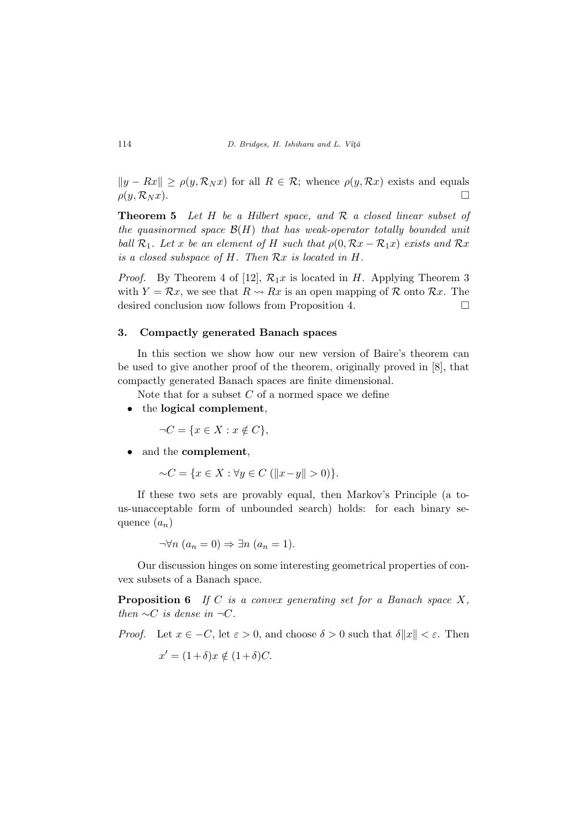$||y - Rx|| \ge \rho(y, \mathcal{R}_N x)$  for all  $R \in \mathcal{R}$ ; whence  $\rho(y, \mathcal{R} x)$  exists and equals  $\rho(y, \mathcal{R}_N x).$ 

**Theorem 5** Let  $H$  be a Hilbert space, and  $R$  a closed linear subset of the quasinormed space  $\mathcal{B}(H)$  that has weak-operator totally bounded unit ball  $\mathcal{R}_1$ . Let x be an element of H such that  $\rho(0, \mathcal{R}x - \mathcal{R}_1x)$  exists and  $\mathcal{R}x$ is a closed subspace of H. Then Rx is located in H.

*Proof.* By Theorem 4 of [12],  $\mathcal{R}_1 x$  is located in H. Applying Theorem 3 with  $Y = \mathcal{R}x$ , we see that  $R \rightarrow Rx$  is an open mapping of  $\mathcal R$  onto  $\mathcal Rx$ . The desired conclusion now follows from Proposition 4.

### 3. Compactly generated Banach spaces

In this section we show how our new version of Baire's theorem can be used to give another proof of the theorem, originally proved in [8], that compactly generated Banach spaces are finite dimensional.

Note that for a subset  $C$  of a normed space we define

• the logical complement,

 $\neg C = \{x \in X : x \notin C\},\$ 

• and the **complement**,

 $∼C = \{x \in X : \forall y \in C \ (||x-y|| > 0)\}.$ 

If these two sets are provably equal, then Markov's Principle (a tous-unacceptable form of unbounded search) holds: for each binary sequence  $(a_n)$ 

 $\neg \forall n \ (a_n = 0) \Rightarrow \exists n \ (a_n = 1).$ 

Our discussion hinges on some interesting geometrical properties of convex subsets of a Banach space.

**Proposition 6** If C is a convex generating set for a Banach space  $X$ , then  $\sim C$  is dense in  $\neg C$ .

*Proof.* Let  $x \in -C$ , let  $\varepsilon > 0$ , and choose  $\delta > 0$  such that  $\delta ||x|| < \varepsilon$ . Then

$$
x' = (1 + \delta)x \notin (1 + \delta)C.
$$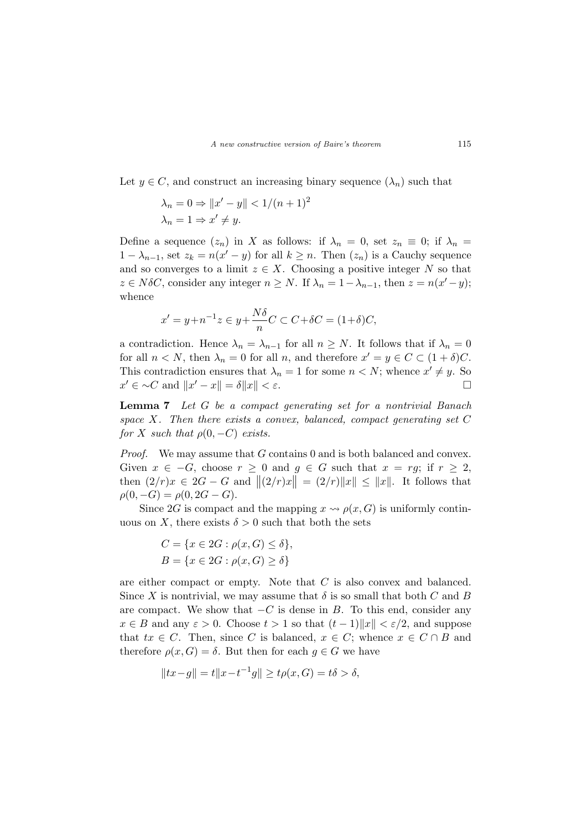Let  $y \in C$ , and construct an increasing binary sequence  $(\lambda_n)$  such that

$$
\lambda_n = 0 \Rightarrow ||x' - y|| < 1/(n+1)^2
$$
  

$$
\lambda_n = 1 \Rightarrow x' \neq y.
$$

Define a sequence  $(z_n)$  in X as follows: if  $\lambda_n = 0$ , set  $z_n \equiv 0$ ; if  $\lambda_n =$  $1 - \lambda_{n-1}$ , set  $z_k = n(x'-y)$  for all  $k \geq n$ . Then  $(z_n)$  is a Cauchy sequence and so converges to a limit  $z \in X$ . Choosing a positive integer N so that  $z \in N\delta C$ , consider any integer  $n \geq N$ . If  $\lambda_n = 1 - \lambda_{n-1}$ , then  $z = n(x'-y)$ ; whence

$$
x' = y + n^{-1}z \in y + \frac{N\delta}{n}C \subset C + \delta C = (1 + \delta)C,
$$

a contradiction. Hence  $\lambda_n = \lambda_{n-1}$  for all  $n \geq N$ . It follows that if  $\lambda_n = 0$ for all  $n < N$ , then  $\lambda_n = 0$  for all n, and therefore  $x' = y \in C \subset (1 + \delta)C$ . This contradiction ensures that  $\lambda_n = 1$  for some  $n < N$ ; whence  $x' \neq y$ . So  $x' \in \sim C$  and  $||x' - x|| = \delta ||x|| < \varepsilon$ .

Lemma 7 Let G be a compact generating set for a nontrivial Banach space X. Then there exists a convex, balanced, compact generating set  $C$ for X such that  $\rho(0, -C)$  exists.

*Proof.* We may assume that  $G$  contains 0 and is both balanced and convex. Given  $x \in -G$ , choose  $r \geq 0$  and  $g \in G$  such that  $x = rg$ ; if  $r \geq 2$ , then  $(2/r)x \in 2G - G$  and  $||(2/r)x|| = (2/r)||x|| \le ||x||$ . It follows that  $\rho(0, -G) = \rho(0, 2G - G).$ 

Since 2G is compact and the mapping  $x \rightsquigarrow \rho(x, G)$  is uniformly continuous on X, there exists  $\delta > 0$  such that both the sets

$$
C = \{x \in 2G : \rho(x, G) \le \delta\},\
$$
  

$$
B = \{x \in 2G : \rho(x, G) \ge \delta\}
$$

are either compact or empty. Note that C is also convex and balanced. Since X is nontrivial, we may assume that  $\delta$  is so small that both C and B are compact. We show that  $-C$  is dense in B. To this end, consider any  $x \in B$  and any  $\varepsilon > 0$ . Choose  $t > 1$  so that  $(t-1) \|x\| < \varepsilon/2$ , and suppose that  $tx \in C$ . Then, since C is balanced,  $x \in C$ ; whence  $x \in C \cap B$  and therefore  $\rho(x, G) = \delta$ . But then for each  $g \in G$  we have

$$
||tx - g|| = t||x - t^{-1}g|| \ge t\rho(x, G) = t\delta > \delta,
$$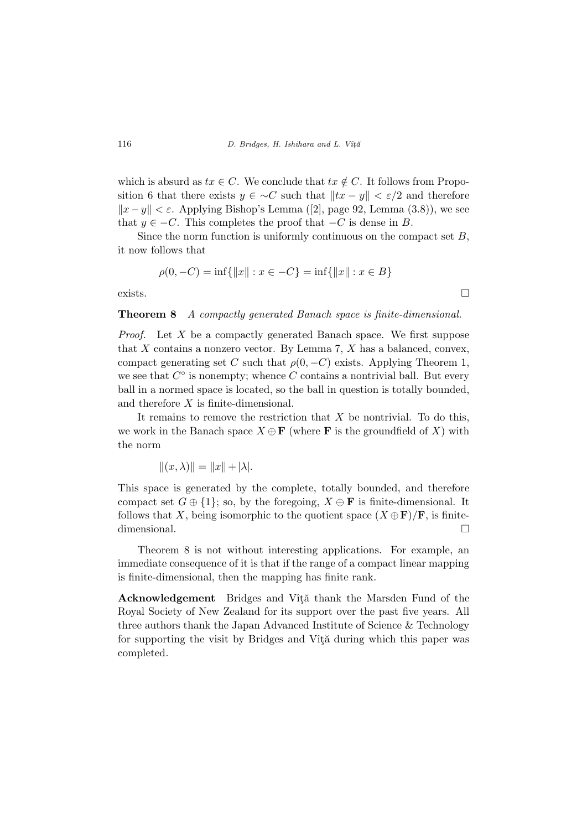which is absurd as  $tx \in C$ . We conclude that  $tx \notin C$ . It follows from Proposition 6 that there exists  $y \in \neg C$  such that  $||tx - y|| < \varepsilon/2$  and therefore  $||x-y|| < \varepsilon$ . Applying Bishop's Lemma ([2], page 92, Lemma (3.8)), we see that  $y \in -C$ . This completes the proof that  $-C$  is dense in B.

Since the norm function is uniformly continuous on the compact set  $B$ , it now follows that

$$
\rho(0, -C) = \inf\{\|x\| : x \in -C\} = \inf\{\|x\| : x \in B\}
$$

exists.  $\Box$ 

Theorem 8 A compactly generated Banach space is finite-dimensional.

*Proof.* Let X be a compactly generated Banach space. We first suppose that  $X$  contains a nonzero vector. By Lemma 7,  $X$  has a balanced, convex, compact generating set C such that  $\rho(0, -C)$  exists. Applying Theorem 1, we see that  $C^{\circ}$  is nonempty; whence C contains a nontrivial ball. But every ball in a normed space is located, so the ball in question is totally bounded, and therefore X is finite-dimensional.

It remains to remove the restriction that  $X$  be nontrivial. To do this, we work in the Banach space  $X \oplus \mathbf{F}$  (where **F** is the groundfield of X) with the norm

$$
||(x,\lambda)|| = ||x|| + |\lambda|.
$$

This space is generated by the complete, totally bounded, and therefore compact set  $G \oplus \{1\}$ ; so, by the foregoing,  $X \oplus \mathbf{F}$  is finite-dimensional. It follows that X, being isomorphic to the quotient space  $(X \oplus \mathbf{F})/\mathbf{F}$ , is finitedimensional.  $\Box$ 

Theorem 8 is not without interesting applications. For example, an immediate consequence of it is that if the range of a compact linear mapping is finite-dimensional, then the mapping has finite rank.

Acknowledgement Bridges and Vîtă thank the Marsden Fund of the Royal Society of New Zealand for its support over the past five years. All three authors thank the Japan Advanced Institute of Science & Technology for supporting the visit by Bridges and Vîtă during which this paper was completed.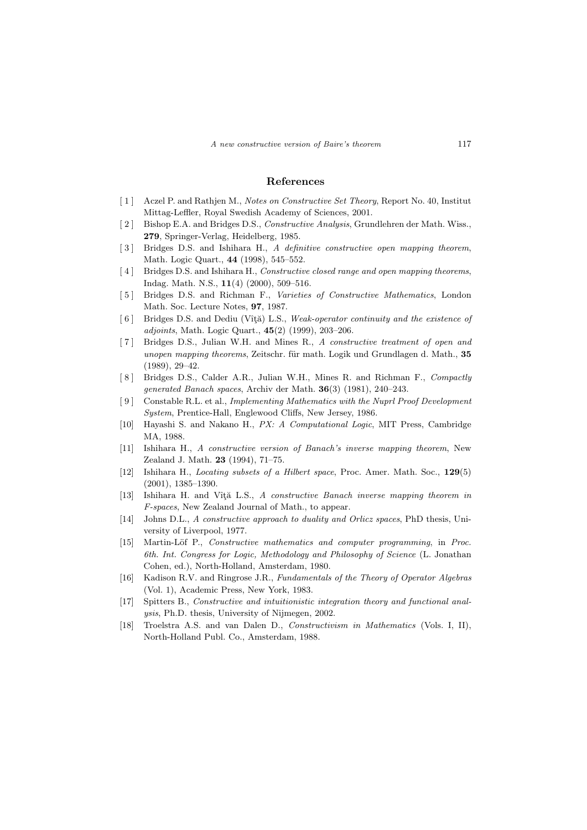### References

- [ 1 ] Aczel P. and Rathjen M., Notes on Constructive Set Theory, Report No. 40, Institut Mittag-Leffler, Royal Swedish Academy of Sciences, 2001.
- [2] Bishop E.A. and Bridges D.S., *Constructive Analysis*, Grundlehren der Math. Wiss., 279, Springer-Verlag, Heidelberg, 1985.
- [3] Bridges D.S. and Ishihara H., A definitive constructive open mapping theorem, Math. Logic Quart., 44 (1998), 545–552.
- [4] Bridges D.S. and Ishihara H., Constructive closed range and open mapping theorems, Indag. Math. N.S., 11(4) (2000), 509–516.
- [5] Bridges D.S. and Richman F., Varieties of Constructive Mathematics, London Math. Soc. Lecture Notes, 97, 1987.
- [6] Bridges D.S. and Dediu (Vîță) L.S., Weak-operator continuity and the existence of adjoints, Math. Logic Quart., 45(2) (1999), 203–206.
- [ 7 ] Bridges D.S., Julian W.H. and Mines R., A constructive treatment of open and unopen mapping theorems, Zeitschr. für math. Logik und Grundlagen d. Math., 35 (1989), 29–42.
- [8] Bridges D.S., Calder A.R., Julian W.H., Mines R. and Richman F., Compactly generated Banach spaces, Archiv der Math. 36(3) (1981), 240–243.
- [ 9 ] Constable R.L. et al., Implementing Mathematics with the Nuprl Proof Development System, Prentice-Hall, Englewood Cliffs, New Jersey, 1986.
- [10] Hayashi S. and Nakano H., PX: A Computational Logic, MIT Press, Cambridge MA, 1988.
- [11] Ishihara H., A constructive version of Banach's inverse mapping theorem, New Zealand J. Math. 23 (1994), 71–75.
- [12] Ishihara H., Locating subsets of a Hilbert space, Proc. Amer. Math. Soc., 129(5) (2001), 1385–1390.
- [13] Ishihara H. and Vîtă L.S., A constructive Banach inverse mapping theorem in F-spaces, New Zealand Journal of Math., to appear.
- [14] Johns D.L., A constructive approach to duality and Orlicz spaces, PhD thesis, University of Liverpool, 1977.
- [15] Martin-Löf P., Constructive mathematics and computer programming, in Proc. 6th. Int. Congress for Logic, Methodology and Philosophy of Science (L. Jonathan Cohen, ed.), North-Holland, Amsterdam, 1980.
- [16] Kadison R.V. and Ringrose J.R., Fundamentals of the Theory of Operator Algebras (Vol. 1), Academic Press, New York, 1983.
- [17] Spitters B., Constructive and intuitionistic integration theory and functional analysis, Ph.D. thesis, University of Nijmegen, 2002.
- [18] Troelstra A.S. and van Dalen D., Constructivism in Mathematics (Vols. I, II), North-Holland Publ. Co., Amsterdam, 1988.